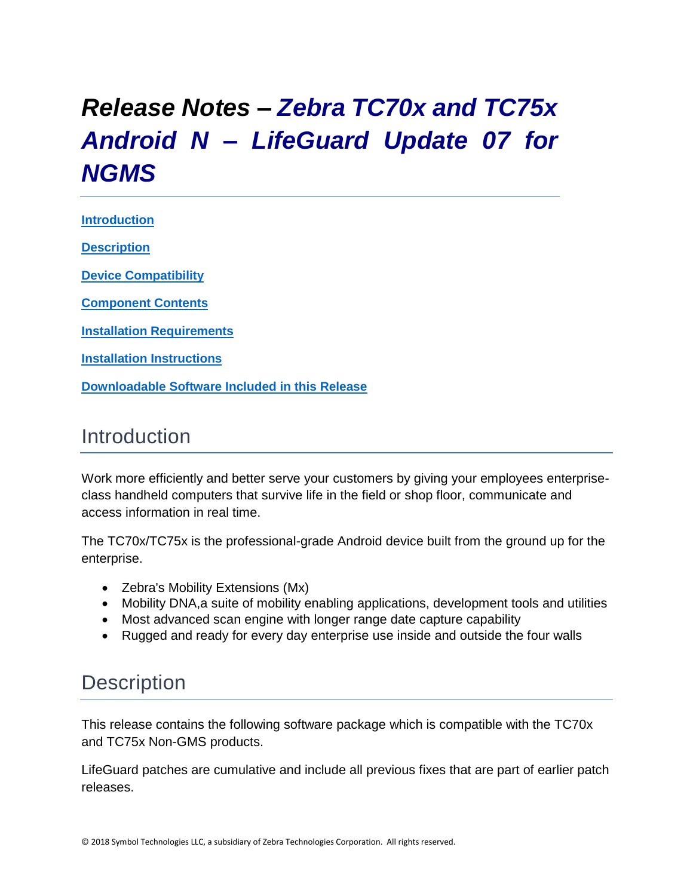# <span id="page-0-0"></span>*Release Notes – Zebra TC70x and TC75x Android N – LifeGuard Update 07 for NGMS*

**[Introduction](#page-0-0) [Description](#page-0-1)**

**[Device Compatibility](#page-3-0)**

**[Component Contents](#page-4-0)**

**[Installation Requirements](#page-4-1)**

**Installation [Instructions](#page-5-0)**

**[Downloadable Software Included in this Release](#page-8-0)**

### Introduction

Work more efficiently and better serve your customers by giving your employees enterpriseclass handheld computers that survive life in the field or shop floor, communicate and access information in real time.

The TC70x/TC75x is the professional-grade Android device built from the ground up for the enterprise.

- Zebra's Mobility Extensions (Mx)
- Mobility DNA, a suite of mobility enabling applications, development tools and utilities
- Most advanced scan engine with longer range date capture capability
- Rugged and ready for every day enterprise use inside and outside the four walls

## <span id="page-0-1"></span>**Description**

This release contains the following software package which is compatible with the TC70x and TC75x Non-GMS products.

LifeGuard patches are cumulative and include all previous fixes that are part of earlier patch releases.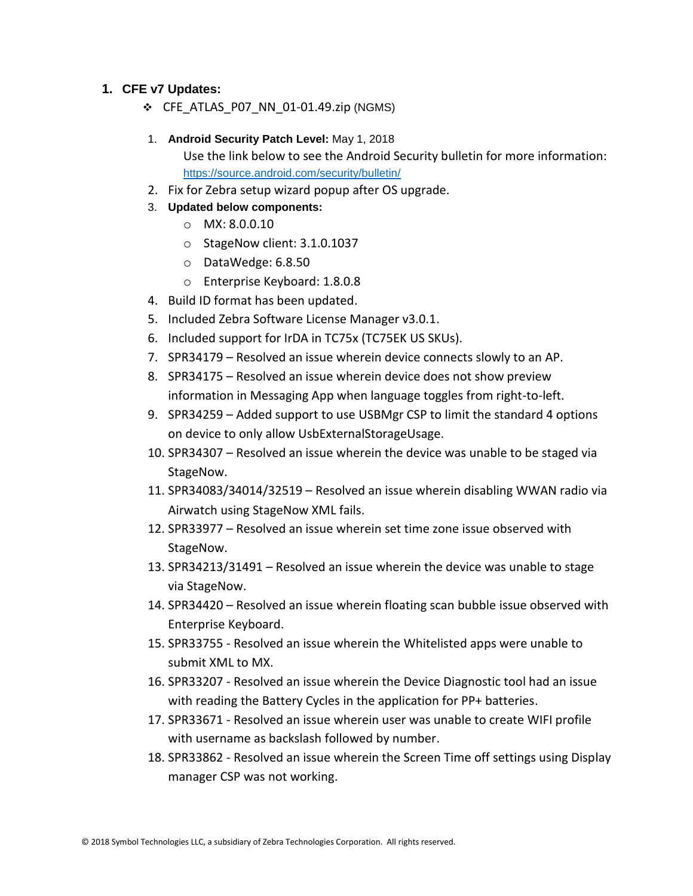#### **1. CFE v7 Updates:**

- ❖ CFE\_ATLAS\_P07\_NN\_01-01.49.zip (NGMS)
- 1. **Android Security Patch Level:** May 1, 2018

Use the link below to see the Android Security bulletin for more information: <https://source.android.com/security/bulletin/>

- 2. Fix for Zebra setup wizard popup after OS upgrade.
- 3. **Updated below components:**
	- o MX: 8.0.0.10
	- o StageNow client: 3.1.0.1037
	- o DataWedge: 6.8.50
	- o Enterprise Keyboard: 1.8.0.8
- 4. Build ID format has been updated.
- 5. Included Zebra Software License Manager v3.0.1.
- 6. Included support for IrDA in TC75x (TC75EK US SKUs).
- 7. SPR34179 Resolved an issue wherein device connects slowly to an AP.
- 8. SPR34175 Resolved an issue wherein device does not show preview information in Messaging App when language toggles from right-to-left.
- 9. SPR34259 Added support to use USBMgr CSP to limit the standard 4 options on device to only allow UsbExternalStorageUsage.
- 10. SPR34307 Resolved an issue wherein the device was unable to be staged via StageNow.
- 11. SPR34083/34014/32519 Resolved an issue wherein disabling WWAN radio via Airwatch using StageNow XML fails.
- 12. SPR33977 Resolved an issue wherein set time zone issue observed with StageNow.
- 13. SPR34213/31491 Resolved an issue wherein the device was unable to stage via StageNow.
- 14. SPR34420 Resolved an issue wherein floating scan bubble issue observed with Enterprise Keyboard.
- 15. SPR33755 Resolved an issue wherein the Whitelisted apps were unable to submit XML to MX.
- 16. SPR33207 Resolved an issue wherein the Device Diagnostic tool had an issue with reading the Battery Cycles in the application for PP+ batteries.
- 17. SPR33671 Resolved an issue wherein user was unable to create WIFI profile with username as backslash followed by number.
- 18. SPR33862 Resolved an issue wherein the Screen Time off settings using Display manager CSP was not working.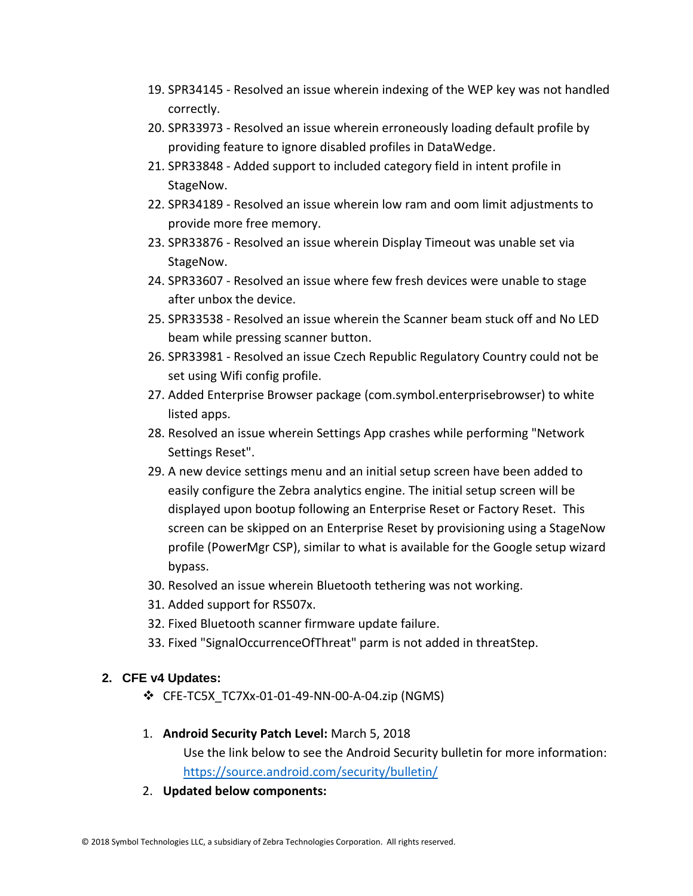- 19. SPR34145 Resolved an issue wherein indexing of the WEP key was not handled correctly.
- 20. SPR33973 Resolved an issue wherein erroneously loading default profile by providing feature to ignore disabled profiles in DataWedge.
- 21. SPR33848 Added support to included category field in intent profile in StageNow.
- 22. SPR34189 Resolved an issue wherein low ram and oom limit adjustments to provide more free memory.
- 23. SPR33876 Resolved an issue wherein Display Timeout was unable set via StageNow.
- 24. SPR33607 Resolved an issue where few fresh devices were unable to stage after unbox the device.
- 25. SPR33538 Resolved an issue wherein the Scanner beam stuck off and No LED beam while pressing scanner button.
- 26. SPR33981 Resolved an issue Czech Republic Regulatory Country could not be set using Wifi config profile.
- 27. Added Enterprise Browser package (com.symbol.enterprisebrowser) to white listed apps.
- 28. Resolved an issue wherein Settings App crashes while performing "Network Settings Reset".
- 29. A new device settings menu and an initial setup screen have been added to easily configure the Zebra analytics engine. The initial setup screen will be displayed upon bootup following an Enterprise Reset or Factory Reset. This screen can be skipped on an Enterprise Reset by provisioning using a StageNow profile (PowerMgr CSP), similar to what is available for the Google setup wizard bypass.
- 30. Resolved an issue wherein Bluetooth tethering was not working.
- 31. Added support for RS507x.
- 32. Fixed Bluetooth scanner firmware update failure.
- 33. Fixed "SignalOccurrenceOfThreat" parm is not added in threatStep.

#### **2. CFE v4 Updates:**

- ❖ CFE-TC5X\_TC7Xx-01-01-49-NN-00-A-04.zip (NGMS)
- 1. **Android Security Patch Level:** March 5, 2018 Use the link below to see the Android Security bulletin for more information: <https://source.android.com/security/bulletin/>
- 2. **Updated below components:**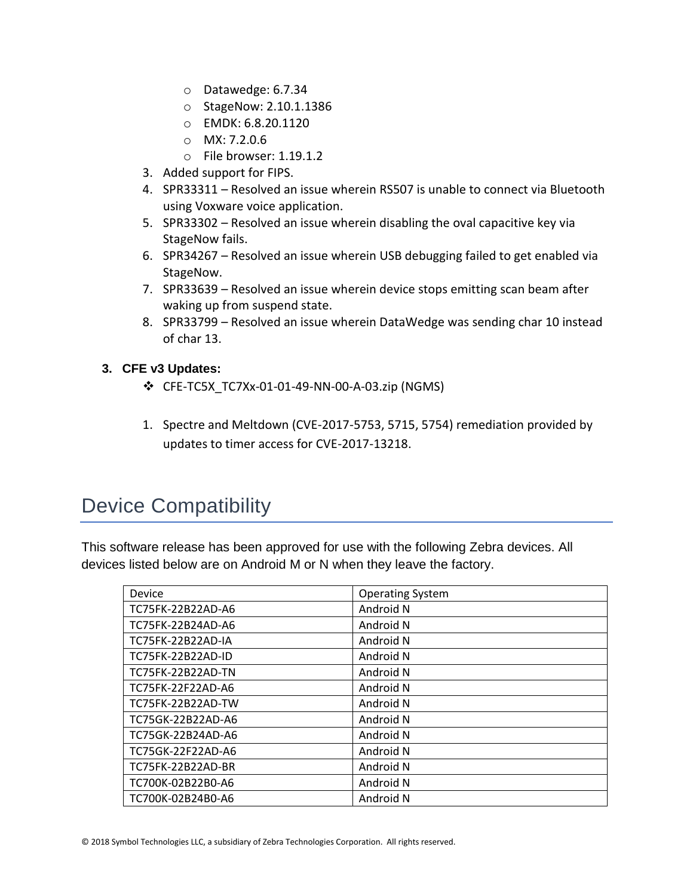- o Datawedge: 6.7.34
- o StageNow: 2.10.1.1386
- o EMDK: 6.8.20.1120
- o MX: 7.2.0.6
- o File browser: 1.19.1.2
- 3. Added support for FIPS.
- 4. SPR33311 Resolved an issue wherein RS507 is unable to connect via Bluetooth using Voxware voice application.
- 5. SPR33302 Resolved an issue wherein disabling the oval capacitive key via StageNow fails.
- 6. SPR34267 Resolved an issue wherein USB debugging failed to get enabled via StageNow.
- 7. SPR33639 Resolved an issue wherein device stops emitting scan beam after waking up from suspend state.
- 8. SPR33799 Resolved an issue wherein DataWedge was sending char 10 instead of char 13.

#### **3. CFE v3 Updates:**

- ❖ CFE-TC5X\_TC7Xx-01-01-49-NN-00-A-03.zip (NGMS)
- 1. Spectre and Meltdown (CVE-2017-5753, 5715, 5754) remediation provided by updates to timer access for CVE-2017-13218.

## <span id="page-3-0"></span>Device Compatibility

This software release has been approved for use with the following Zebra devices. All devices listed below are on Android M or N when they leave the factory.

| Device                   | <b>Operating System</b> |
|--------------------------|-------------------------|
| TC75FK-22B22AD-A6        | Android N               |
| TC75FK-22B24AD-A6        | Android N               |
| <b>TC75FK-22B22AD-IA</b> | Android N               |
| TC75FK-22B22AD-ID        | Android N               |
| TC75FK-22B22AD-TN        | Android N               |
| TC75FK-22F22AD-A6        | Android N               |
| TC75FK-22B22AD-TW        | Android N               |
| TC75GK-22B22AD-A6        | Android N               |
| TC75GK-22B24AD-A6        | Android N               |
| TC75GK-22F22AD-A6        | Android N               |
| TC75FK-22B22AD-BR        | Android N               |
| TC700K-02B22B0-A6        | Android N               |
| TC700K-02B24B0-A6        | Android N               |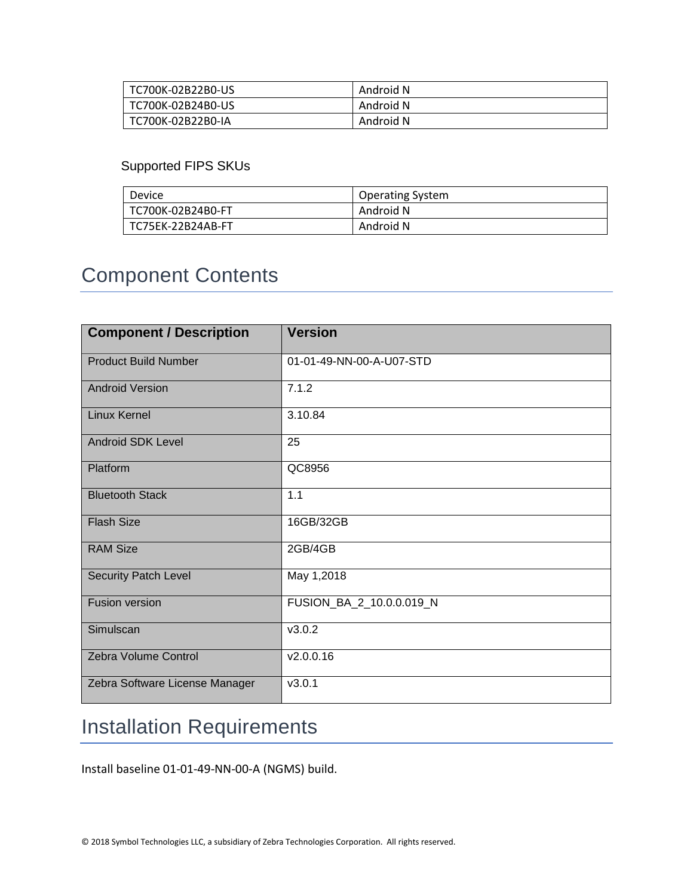| TC700K-02B22B0-US | Android N |
|-------------------|-----------|
| TC700K-02B24B0-US | Android N |
| TC700K-02B22B0-IA | Android N |

#### Supported FIPS SKUs

| Device            | <b>Operating System</b> |
|-------------------|-------------------------|
| TC700K-02B24B0-FT | Android N               |
| TC75EK-22B24AB-FT | Android N               |

## <span id="page-4-0"></span>Component Contents

| <b>Component / Description</b> | <b>Version</b>           |
|--------------------------------|--------------------------|
| <b>Product Build Number</b>    | 01-01-49-NN-00-A-U07-STD |
| <b>Android Version</b>         | 7.1.2                    |
| <b>Linux Kernel</b>            | 3.10.84                  |
| <b>Android SDK Level</b>       | 25                       |
| Platform                       | QC8956                   |
| <b>Bluetooth Stack</b>         | 1.1                      |
| <b>Flash Size</b>              | 16GB/32GB                |
| <b>RAM Size</b>                | 2GB/4GB                  |
| <b>Security Patch Level</b>    | May 1,2018               |
| <b>Fusion version</b>          | FUSION_BA_2_10.0.0.019_N |
| Simulscan                      | V3.0.2                   |
| Zebra Volume Control           | v2.0.0.16                |
| Zebra Software License Manager | v3.0.1                   |

## <span id="page-4-1"></span>Installation Requirements

Install baseline 01-01-49-NN-00-A (NGMS) build.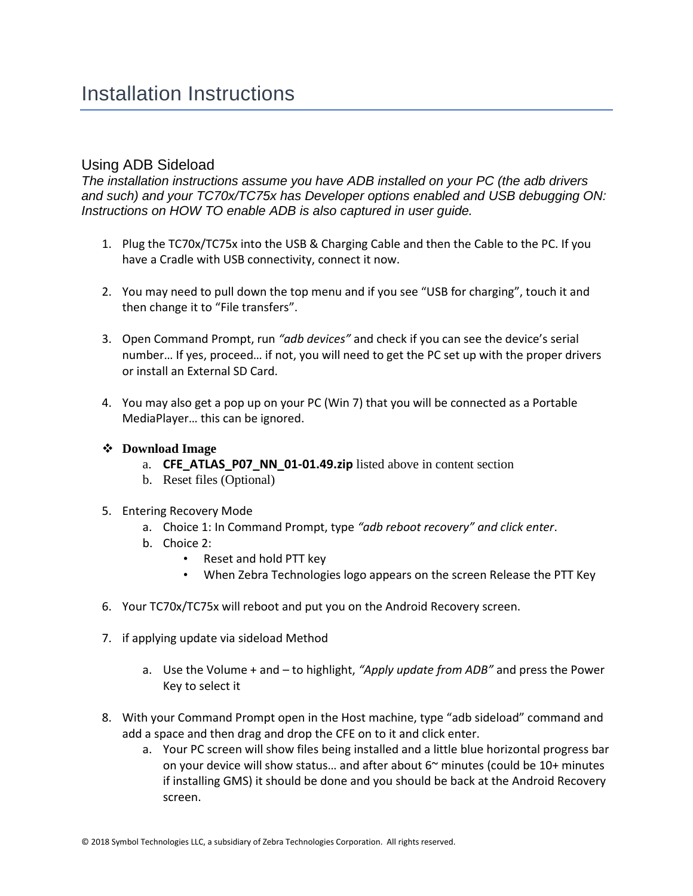#### <span id="page-5-0"></span>Using ADB Sideload

*The installation instructions assume you have ADB installed on your PC (the adb drivers and such) and your TC70x/TC75x has Developer options enabled and USB debugging ON: Instructions on HOW TO enable ADB is also captured in user guide.*

- 1. Plug the TC70x/TC75x into the USB & Charging Cable and then the Cable to the PC. If you have a Cradle with USB connectivity, connect it now.
- 2. You may need to pull down the top menu and if you see "USB for charging", touch it and then change it to "File transfers".
- 3. Open Command Prompt, run *"adb devices"* and check if you can see the device's serial number… If yes, proceed… if not, you will need to get the PC set up with the proper drivers or install an External SD Card.
- 4. You may also get a pop up on your PC (Win 7) that you will be connected as a Portable MediaPlayer… this can be ignored.
- ❖ **Download Image** 
	- a. **CFE ATLAS P07 NN 01-01.49.zip** listed above in content section
	- b. Reset files (Optional)
- 5. Entering Recovery Mode
	- a. Choice 1: In Command Prompt, type *"adb reboot recovery" and click enter*.
	- b. Choice 2:
		- Reset and hold PTT key
		- When Zebra Technologies logo appears on the screen Release the PTT Key
- 6. Your TC70x/TC75x will reboot and put you on the Android Recovery screen.
- 7. if applying update via sideload Method
	- a. Use the Volume + and to highlight, *"Apply update from ADB"* and press the Power Key to select it
- 8. With your Command Prompt open in the Host machine, type "adb sideload" command and add a space and then drag and drop the CFE on to it and click enter.
	- a. Your PC screen will show files being installed and a little blue horizontal progress bar on your device will show status... and after about  $6<sup>th</sup>$  minutes (could be  $10+$  minutes if installing GMS) it should be done and you should be back at the Android Recovery screen.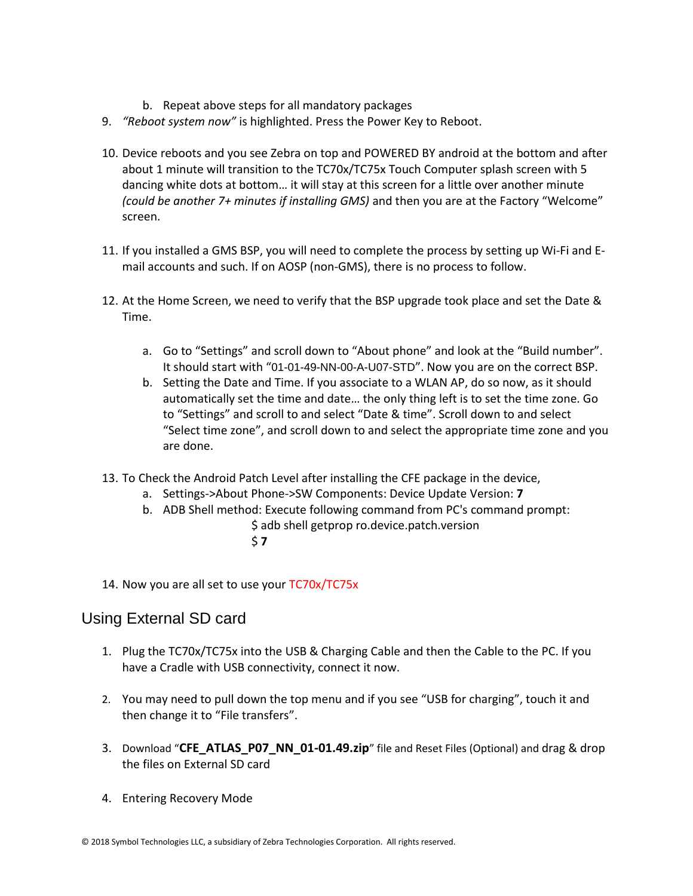- b. Repeat above steps for all mandatory packages
- 9. *"Reboot system now"* is highlighted. Press the Power Key to Reboot.
- 10. Device reboots and you see Zebra on top and POWERED BY android at the bottom and after about 1 minute will transition to the TC70x/TC75x Touch Computer splash screen with 5 dancing white dots at bottom… it will stay at this screen for a little over another minute *(could be another 7+ minutes if installing GMS)* and then you are at the Factory "Welcome" screen.
- 11. If you installed a GMS BSP, you will need to complete the process by setting up Wi‐Fi and E‐ mail accounts and such. If on AOSP (non‐GMS), there is no process to follow.
- 12. At the Home Screen, we need to verify that the BSP upgrade took place and set the Date & Time.
	- a. Go to "Settings" and scroll down to "About phone" and look at the "Build number". It should start with "01-01-49-NN-00-A-U07-STD". Now you are on the correct BSP.
	- b. Setting the Date and Time. If you associate to a WLAN AP, do so now, as it should automatically set the time and date… the only thing left is to set the time zone. Go to "Settings" and scroll to and select "Date & time". Scroll down to and select "Select time zone", and scroll down to and select the appropriate time zone and you are done.
- 13. To Check the Android Patch Level after installing the CFE package in the device,
	- a. Settings->About Phone->SW Components: Device Update Version: **7**
	- b. ADB Shell method: Execute following command from PC's command prompt:
		- \$ adb shell getprop ro.device.patch.version
			- \$ **7**
- 14. Now you are all set to use your TC70x/TC75x

#### Using External SD card

- 1. Plug the TC70x/TC75x into the USB & Charging Cable and then the Cable to the PC. If you have a Cradle with USB connectivity, connect it now.
- 2. You may need to pull down the top menu and if you see "USB for charging", touch it and then change it to "File transfers".
- 3. Download "**CFE\_ATLAS\_P07\_NN\_01-01.49.zip**" file and Reset Files (Optional) and drag & drop the files on External SD card
- 4. Entering Recovery Mode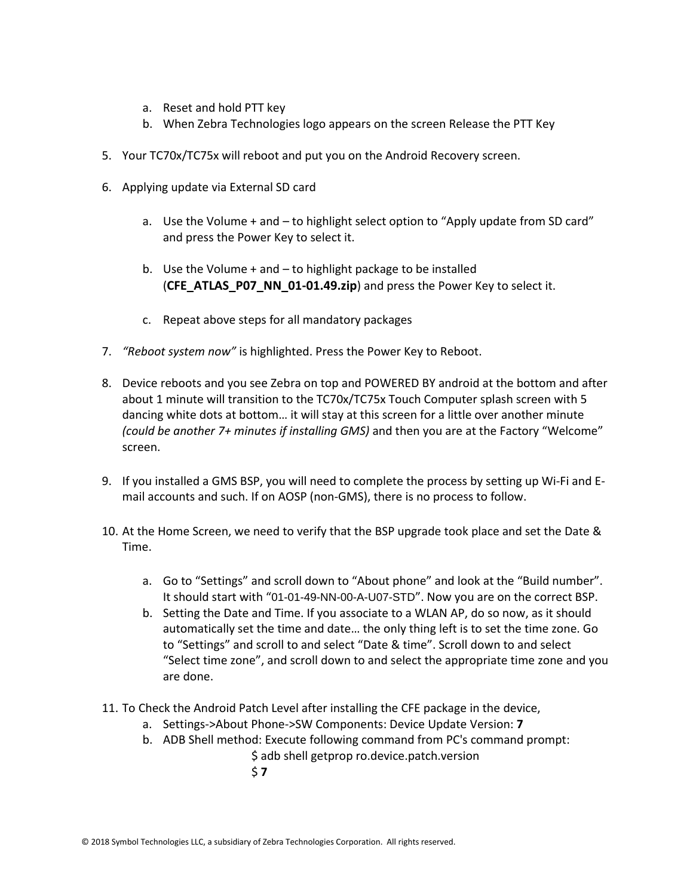- a. Reset and hold PTT key
- b. When Zebra Technologies logo appears on the screen Release the PTT Key
- 5. Your TC70x/TC75x will reboot and put you on the Android Recovery screen.
- 6. Applying update via External SD card
	- a. Use the Volume + and to highlight select option to "Apply update from SD card" and press the Power Key to select it.
	- b. Use the Volume  $+$  and  $-$  to highlight package to be installed (**CFE\_ATLAS\_P07\_NN\_01-01.49.zip**) and press the Power Key to select it.
	- c. Repeat above steps for all mandatory packages
- 7. *"Reboot system now"* is highlighted. Press the Power Key to Reboot.
- 8. Device reboots and you see Zebra on top and POWERED BY android at the bottom and after about 1 minute will transition to the TC70x/TC75x Touch Computer splash screen with 5 dancing white dots at bottom… it will stay at this screen for a little over another minute *(could be another 7+ minutes if installing GMS)* and then you are at the Factory "Welcome" screen.
- 9. If you installed a GMS BSP, you will need to complete the process by setting up Wi‐Fi and E‐ mail accounts and such. If on AOSP (non‐GMS), there is no process to follow.
- 10. At the Home Screen, we need to verify that the BSP upgrade took place and set the Date & Time.
	- a. Go to "Settings" and scroll down to "About phone" and look at the "Build number". It should start with "01-01-49-NN-00-A-U07-STD". Now you are on the correct BSP.
	- b. Setting the Date and Time. If you associate to a WLAN AP, do so now, as it should automatically set the time and date… the only thing left is to set the time zone. Go to "Settings" and scroll to and select "Date & time". Scroll down to and select "Select time zone", and scroll down to and select the appropriate time zone and you are done.
- 11. To Check the Android Patch Level after installing the CFE package in the device,
	- a. Settings->About Phone->SW Components: Device Update Version: **7**
	- b. ADB Shell method: Execute following command from PC's command prompt: \$ adb shell getprop ro.device.patch.version \$ **7**